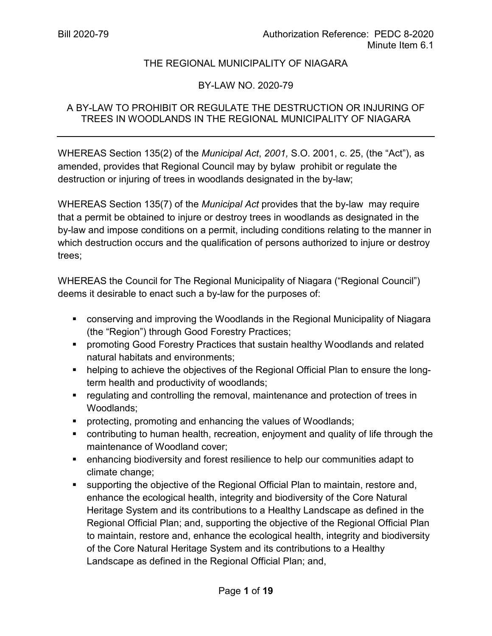#### THE REGIONAL MUNICIPALITY OF NIAGARA

#### BY-LAW NO. 2020-79

## A BY-LAW TO PROHIBIT OR REGULATE THE DESTRUCTION OR INJURING OF TREES IN WOODLANDS IN THE REGIONAL MUNICIPALITY OF NIAGARA

WHEREAS Section 135(2) of the *Municipal Act*, *2001,* S.O. 2001, c. 25, (the "Act"), as amended, provides that Regional Council may by bylaw prohibit or regulate the destruction or injuring of trees in woodlands designated in the by-law;

WHEREAS Section 135(7) of the *Municipal Act* provides that the by-law may require that a permit be obtained to injure or destroy trees in woodlands as designated in the by-law and impose conditions on a permit, including conditions relating to the manner in which destruction occurs and the qualification of persons authorized to injure or destroy trees;

WHEREAS the Council for The Regional Municipality of Niagara ("Regional Council") deems it desirable to enact such a by-law for the purposes of:

- conserving and improving the Woodlands in the Regional Municipality of Niagara (the "Region") through Good Forestry Practices;
- promoting Good Forestry Practices that sustain healthy Woodlands and related natural habitats and environments;
- helping to achieve the objectives of the Regional Official Plan to ensure the longterm health and productivity of woodlands;
- **•** regulating and controlling the removal, maintenance and protection of trees in Woodlands;
- **•** protecting, promoting and enhancing the values of Woodlands;
- contributing to human health, recreation, enjoyment and quality of life through the maintenance of Woodland cover;
- enhancing biodiversity and forest resilience to help our communities adapt to climate change;
- supporting the objective of the Regional Official Plan to maintain, restore and, enhance the ecological health, integrity and biodiversity of the Core Natural Heritage System and its contributions to a Healthy Landscape as defined in the Regional Official Plan; and, supporting the objective of the Regional Official Plan to maintain, restore and, enhance the ecological health, integrity and biodiversity of the Core Natural Heritage System and its contributions to a Healthy Landscape as defined in the Regional Official Plan; and,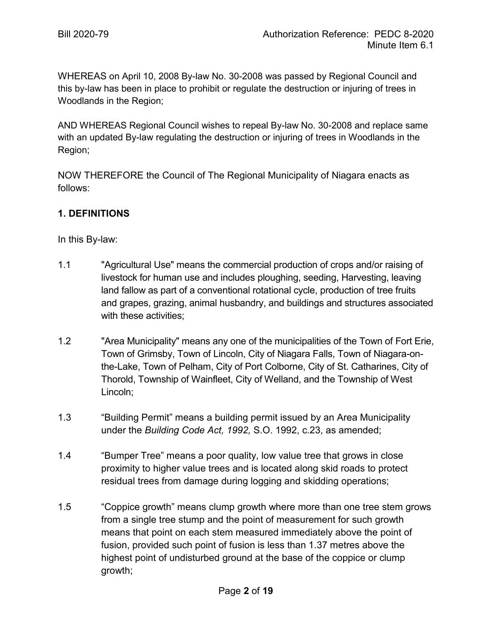WHEREAS on April 10, 2008 By-law No. 30-2008 was passed by Regional Council and this by-law has been in place to prohibit or regulate the destruction or injuring of trees in Woodlands in the Region;

AND WHEREAS Regional Council wishes to repeal By-law No. 30-2008 and replace same with an updated By-law regulating the destruction or injuring of trees in Woodlands in the Region;

NOW THEREFORE the Council of The Regional Municipality of Niagara enacts as follows:

# **1. DEFINITIONS**

In this By-law:

- 1.1 "Agricultural Use" means the commercial production of crops and/or raising of livestock for human use and includes ploughing, seeding, Harvesting, leaving land fallow as part of a conventional rotational cycle, production of tree fruits and grapes, grazing, animal husbandry, and buildings and structures associated with these activities;
- 1.2 "Area Municipality" means any one of the municipalities of the Town of Fort Erie, Town of Grimsby, Town of Lincoln, City of Niagara Falls, Town of Niagara-onthe-Lake, Town of Pelham, City of Port Colborne, City of St. Catharines, City of Thorold, Township of Wainfleet, City of Welland, and the Township of West Lincoln;
- 1.3 "Building Permit" means a building permit issued by an Area Municipality under the *Building Code Act, 1992,* S.O. 1992, c.23, as amended;
- 1.4 "Bumper Tree" means a poor quality, low value tree that grows in close proximity to higher value trees and is located along skid roads to protect residual trees from damage during logging and skidding operations;
- 1.5 "Coppice growth" means clump growth where more than one tree stem grows from a single tree stump and the point of measurement for such growth means that point on each stem measured immediately above the point of fusion, provided such point of fusion is less than 1.37 metres above the highest point of undisturbed ground at the base of the coppice or clump growth;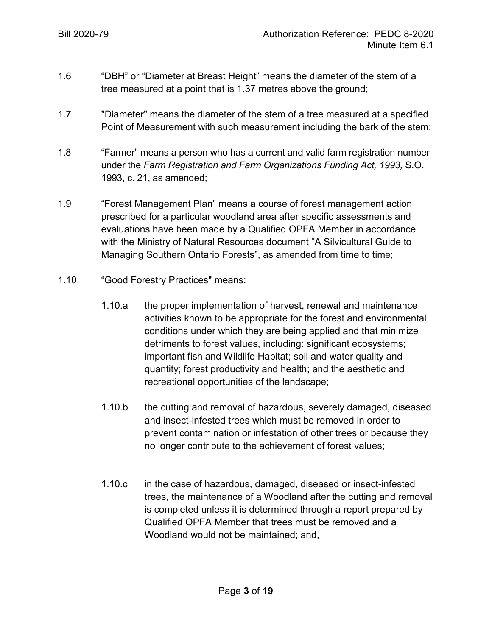- 1.6 "DBH" or "Diameter at Breast Height" means the diameter of the stem of a tree measured at a point that is 1.37 metres above the ground;
- 1.7 "Diameter" means the diameter of the stem of a tree measured at a specified Point of Measurement with such measurement including the bark of the stem;
- 1.8 "Farmer" means a person who has a current and valid farm registration number under the *Farm Registration and Farm Organizations Funding Act, 1993,* S.O. 1993, c. 21, as amended;
- 1.9 "Forest Management Plan" means a course of forest management action prescribed for a particular woodland area after specific assessments and evaluations have been made by a Qualified OPFA Member in accordance with the Ministry of Natural Resources document "A Silvicultural Guide to Managing Southern Ontario Forests", as amended from time to time;
- 1.10 "Good Forestry Practices" means:
	- 1.10.a the proper implementation of harvest, renewal and maintenance activities known to be appropriate for the forest and environmental conditions under which they are being applied and that minimize detriments to forest values, including: significant ecosystems; important fish and Wildlife Habitat; soil and water quality and quantity; forest productivity and health; and the aesthetic and recreational opportunities of the landscape;
	- 1.10.b the cutting and removal of hazardous, severely damaged, diseased and insect-infested trees which must be removed in order to prevent contamination or infestation of other trees or because they no longer contribute to the achievement of forest values;
	- 1.10.c in the case of hazardous, damaged, diseased or insect-infested trees, the maintenance of a Woodland after the cutting and removal is completed unless it is determined through a report prepared by Qualified OPFA Member that trees must be removed and a Woodland would not be maintained; and,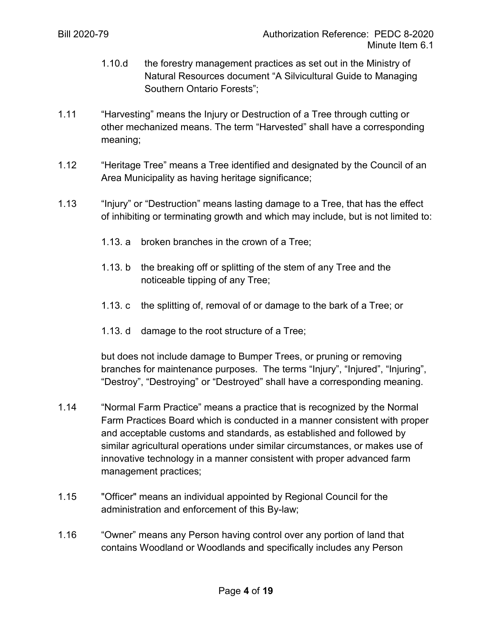- 1.10.d the forestry management practices as set out in the Ministry of Natural Resources document "A Silvicultural Guide to Managing Southern Ontario Forests";
- 1.11 "Harvesting" means the Injury or Destruction of a Tree through cutting or other mechanized means. The term "Harvested" shall have a corresponding meaning;
- 1.12 "Heritage Tree" means a Tree identified and designated by the Council of an Area Municipality as having heritage significance;
- 1.13 "Injury" or "Destruction" means lasting damage to a Tree, that has the effect of inhibiting or terminating growth and which may include, but is not limited to:
	- 1.13. a broken branches in the crown of a Tree;
	- 1.13. b the breaking off or splitting of the stem of any Tree and the noticeable tipping of any Tree;
	- 1.13. c the splitting of, removal of or damage to the bark of a Tree; or
	- 1.13. d damage to the root structure of a Tree;

but does not include damage to Bumper Trees, or pruning or removing branches for maintenance purposes. The terms "Injury", "Injured", "Injuring", "Destroy", "Destroying" or "Destroyed" shall have a corresponding meaning.

- 1.14 "Normal Farm Practice" means a practice that is recognized by the Normal Farm Practices Board which is conducted in a manner consistent with proper and acceptable customs and standards, as established and followed by similar agricultural operations under similar circumstances, or makes use of innovative technology in a manner consistent with proper advanced farm management practices;
- 1.15 "Officer" means an individual appointed by Regional Council for the administration and enforcement of this By-law;
- 1.16 "Owner" means any Person having control over any portion of land that contains Woodland or Woodlands and specifically includes any Person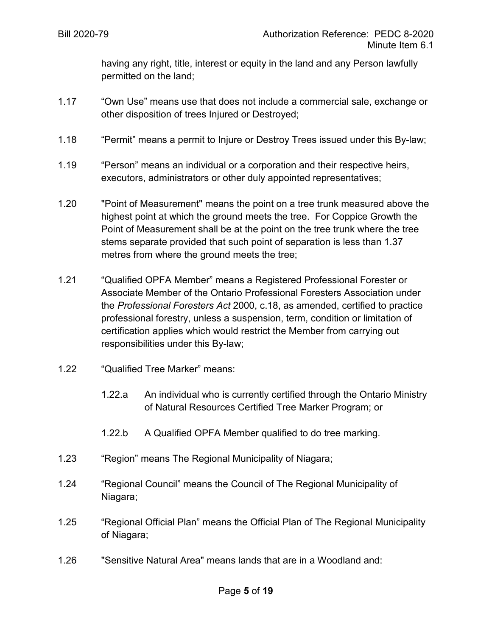having any right, title, interest or equity in the land and any Person lawfully permitted on the land;

- 1.17 "Own Use" means use that does not include a commercial sale, exchange or other disposition of trees Injured or Destroyed;
- 1.18 "Permit" means a permit to Injure or Destroy Trees issued under this By-law;
- 1.19 "Person" means an individual or a corporation and their respective heirs, executors, administrators or other duly appointed representatives;
- 1.20 "Point of Measurement" means the point on a tree trunk measured above the highest point at which the ground meets the tree. For Coppice Growth the Point of Measurement shall be at the point on the tree trunk where the tree stems separate provided that such point of separation is less than 1.37 metres from where the ground meets the tree;
- 1.21 "Qualified OPFA Member" means a Registered Professional Forester or Associate Member of the Ontario Professional Foresters Association under the *Professional Foresters Act* 2000, c.18, as amended, certified to practice professional forestry, unless a suspension, term, condition or limitation of certification applies which would restrict the Member from carrying out responsibilities under this By-law;
- 1.22 "Qualified Tree Marker" means:
	- 1.22.a An individual who is currently certified through the Ontario Ministry of Natural Resources Certified Tree Marker Program; or
	- 1.22.b A Qualified OPFA Member qualified to do tree marking.
- 1.23 "Region" means The Regional Municipality of Niagara;
- 1.24 "Regional Council" means the Council of The Regional Municipality of Niagara;
- 1.25 "Regional Official Plan" means the Official Plan of The Regional Municipality of Niagara;
- 1.26 "Sensitive Natural Area" means lands that are in a Woodland and: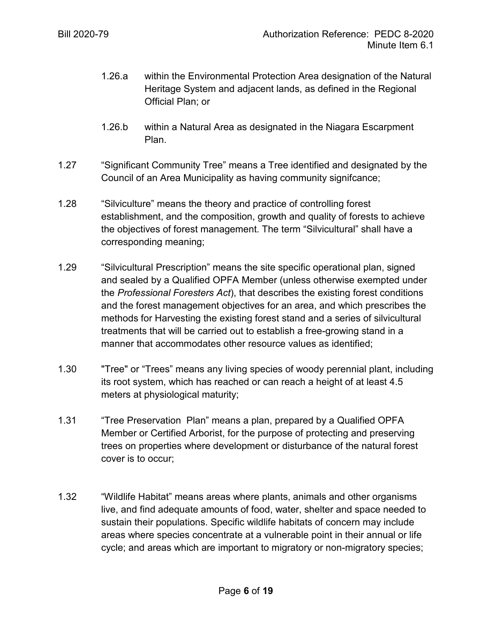- 1.26.a within the Environmental Protection Area designation of the Natural Heritage System and adjacent lands, as defined in the Regional Official Plan; or
- 1.26.b within a Natural Area as designated in the Niagara Escarpment Plan.
- 1.27 "Significant Community Tree" means a Tree identified and designated by the Council of an Area Municipality as having community signifcance;
- 1.28 "Silviculture" means the theory and practice of controlling forest establishment, and the composition, growth and quality of forests to achieve the objectives of forest management. The term "Silvicultural" shall have a corresponding meaning;
- 1.29 "Silvicultural Prescription" means the site specific operational plan, signed and sealed by a Qualified OPFA Member (unless otherwise exempted under the *Professional Foresters Act*), that describes the existing forest conditions and the forest management objectives for an area, and which prescribes the methods for Harvesting the existing forest stand and a series of silvicultural treatments that will be carried out to establish a free-growing stand in a manner that accommodates other resource values as identified;
- 1.30 "Tree" or "Trees" means any living species of woody perennial plant, including its root system, which has reached or can reach a height of at least 4.5 meters at physiological maturity;
- 1.31 "Tree Preservation Plan" means a plan, prepared by a Qualified OPFA Member or Certified Arborist, for the purpose of protecting and preserving trees on properties where development or disturbance of the natural forest cover is to occur;
- 1.32 "Wildlife Habitat" means areas where plants, animals and other organisms live, and find adequate amounts of food, water, shelter and space needed to sustain their populations. Specific wildlife habitats of concern may include areas where species concentrate at a vulnerable point in their annual or life cycle; and areas which are important to migratory or non-migratory species;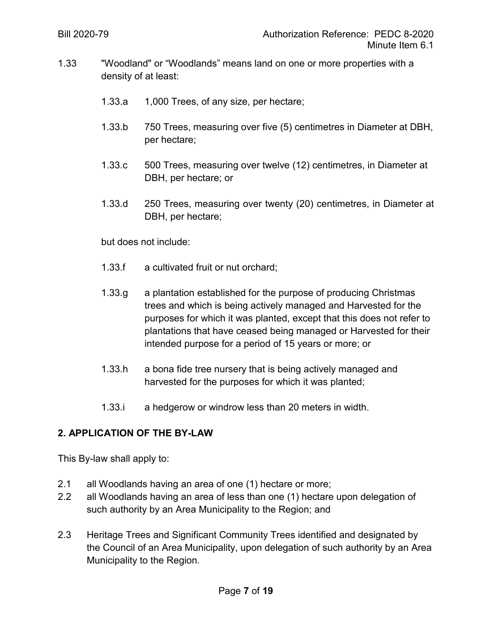- 1.33 "Woodland" or "Woodlands" means land on one or more properties with a density of at least:
	- 1.33.a 1,000 Trees, of any size, per hectare;
	- 1.33.b 750 Trees, measuring over five (5) centimetres in Diameter at DBH, per hectare;
	- 1.33.c 500 Trees, measuring over twelve (12) centimetres, in Diameter at DBH, per hectare; or
	- 1.33.d 250 Trees, measuring over twenty (20) centimetres, in Diameter at DBH, per hectare;

but does not include:

- 1.33.f a cultivated fruit or nut orchard;
- 1.33.g a plantation established for the purpose of producing Christmas trees and which is being actively managed and Harvested for the purposes for which it was planted, except that this does not refer to plantations that have ceased being managed or Harvested for their intended purpose for a period of 15 years or more; or
- 1.33.h a bona fide tree nursery that is being actively managed and harvested for the purposes for which it was planted;
- 1.33.i a hedgerow or windrow less than 20 meters in width.

## **2. APPLICATION OF THE BY-LAW**

This By-law shall apply to:

- 2.1 all Woodlands having an area of one (1) hectare or more;
- 2.2 all Woodlands having an area of less than one (1) hectare upon delegation of such authority by an Area Municipality to the Region; and
- 2.3 Heritage Trees and Significant Community Trees identified and designated by the Council of an Area Municipality, upon delegation of such authority by an Area Municipality to the Region.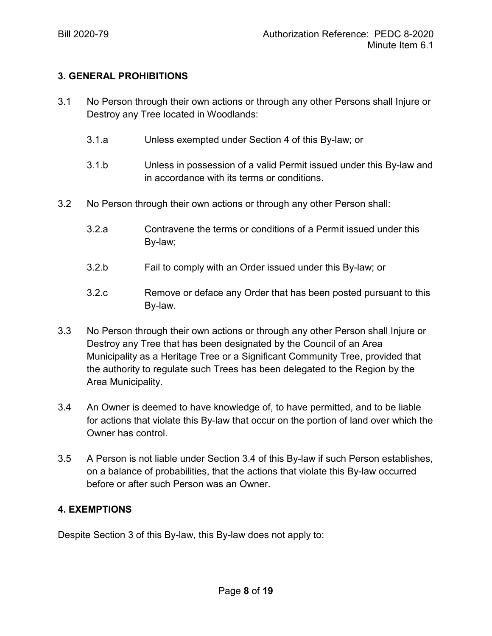# **3. GENERAL PROHIBITIONS**

- 3.1 No Person through their own actions or through any other Persons shall Injure or Destroy any Tree located in Woodlands:
	- 3.1.a Unless exempted under Section 4 of this By-law; or
	- 3.1.b Unless in possession of a valid Permit issued under this By-law and in accordance with its terms or conditions.
- 3.2 No Person through their own actions or through any other Person shall:
	- 3.2.a Contravene the terms or conditions of a Permit issued under this By-law;
	- 3.2.b Fail to comply with an Order issued under this By-law; or
	- 3.2.c Remove or deface any Order that has been posted pursuant to this By-law.
- 3.3 No Person through their own actions or through any other Person shall Injure or Destroy any Tree that has been designated by the Council of an Area Municipality as a Heritage Tree or a Significant Community Tree, provided that the authority to regulate such Trees has been delegated to the Region by the Area Municipality.
- 3.4 An Owner is deemed to have knowledge of, to have permitted, and to be liable for actions that violate this By-law that occur on the portion of land over which the Owner has control.
- 3.5 A Person is not liable under Section 3.4 of this By-law if such Person establishes, on a balance of probabilities, that the actions that violate this By-law occurred before or after such Person was an Owner.

## **4. EXEMPTIONS**

Despite Section 3 of this By-law, this By-law does not apply to: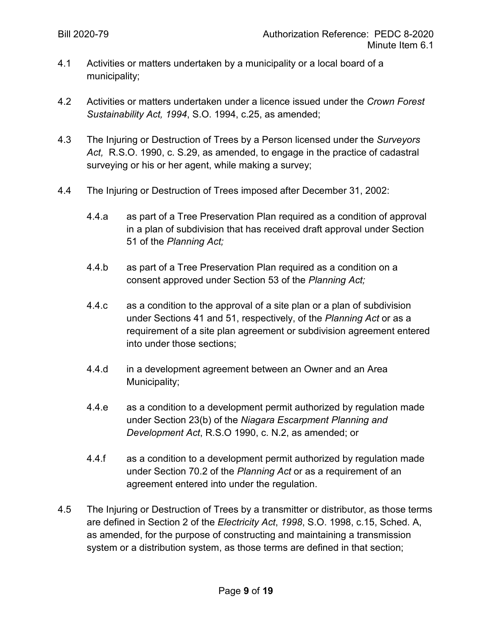- 4.1 Activities or matters undertaken by a municipality or a local board of a municipality;
- 4.2 Activities or matters undertaken under a licence issued under the *Crown Forest Sustainability Act, 1994*, S.O. 1994, c.25, as amended;
- 4.3 The Injuring or Destruction of Trees by a Person licensed under the *Surveyors Act,* R.S.O. 1990, c. S.29, as amended, to engage in the practice of cadastral surveying or his or her agent, while making a survey;
- 4.4 The Injuring or Destruction of Trees imposed after December 31, 2002:
	- 4.4.a as part of a Tree Preservation Plan required as a condition of approval in a plan of subdivision that has received draft approval under Section 51 of the *Planning Act;*
	- 4.4.b as part of a Tree Preservation Plan required as a condition on a consent approved under Section 53 of the *Planning Act;*
	- 4.4.c as a condition to the approval of a site plan or a plan of subdivision under Sections 41 and 51, respectively, of the *Planning Act* or as a requirement of a site plan agreement or subdivision agreement entered into under those sections;
	- 4.4.d in a development agreement between an Owner and an Area Municipality;
	- 4.4.e as a condition to a development permit authorized by regulation made under Section 23(b) of the *Niagara Escarpment Planning and Development Act*, R.S.O 1990, c. N.2, as amended; or
	- 4.4.f as a condition to a development permit authorized by regulation made under Section 70.2 of the *Planning Act* or as a requirement of an agreement entered into under the regulation.
- 4.5 The Injuring or Destruction of Trees by a transmitter or distributor, as those terms are defined in Section 2 of the *Electricity Act*, *1998*, S.O. 1998, c.15, Sched. A, as amended, for the purpose of constructing and maintaining a transmission system or a distribution system, as those terms are defined in that section;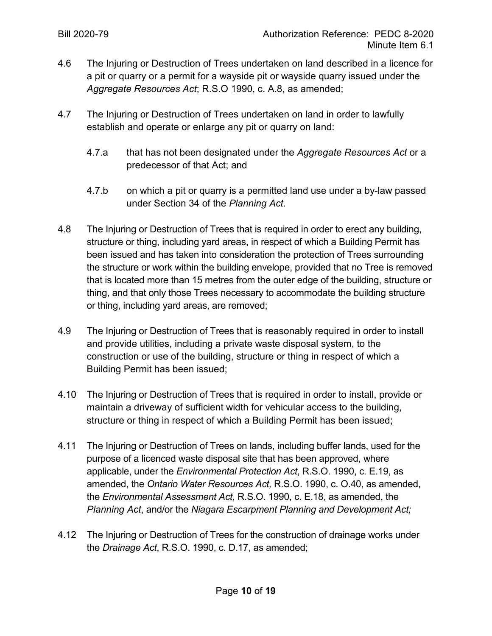- 4.6 The Injuring or Destruction of Trees undertaken on land described in a licence for a pit or quarry or a permit for a wayside pit or wayside quarry issued under the *Aggregate Resources Act*; R.S.O 1990, c. A.8, as amended;
- 4.7 The Injuring or Destruction of Trees undertaken on land in order to lawfully establish and operate or enlarge any pit or quarry on land:
	- 4.7.a that has not been designated under the *Aggregate Resources Act* or a predecessor of that Act; and
	- 4.7.b on which a pit or quarry is a permitted land use under a by-law passed under Section 34 of the *Planning Act*.
- 4.8 The Injuring or Destruction of Trees that is required in order to erect any building, structure or thing, including yard areas, in respect of which a Building Permit has been issued and has taken into consideration the protection of Trees surrounding the structure or work within the building envelope, provided that no Tree is removed that is located more than 15 metres from the outer edge of the building, structure or thing, and that only those Trees necessary to accommodate the building structure or thing, including yard areas, are removed;
- 4.9 The Injuring or Destruction of Trees that is reasonably required in order to install and provide utilities, including a private waste disposal system, to the construction or use of the building, structure or thing in respect of which a Building Permit has been issued;
- 4.10 The Injuring or Destruction of Trees that is required in order to install, provide or maintain a driveway of sufficient width for vehicular access to the building, structure or thing in respect of which a Building Permit has been issued;
- 4.11 The Injuring or Destruction of Trees on lands, including buffer lands, used for the purpose of a licenced waste disposal site that has been approved, where applicable, under the *Environmental Protection Act*, R.S.O. 1990, c. E.19, as amended, the *Ontario Water Resources Act,* R.S.O. 1990, c. O.40, as amended, the *Environmental Assessment Act*, R.S.O. 1990, c. E.18, as amended, the *Planning Act*, and/or the *Niagara Escarpment Planning and Development Act;*
- 4.12 The Injuring or Destruction of Trees for the construction of drainage works under the *Drainage Act*, R.S.O. 1990, c. D.17, as amended;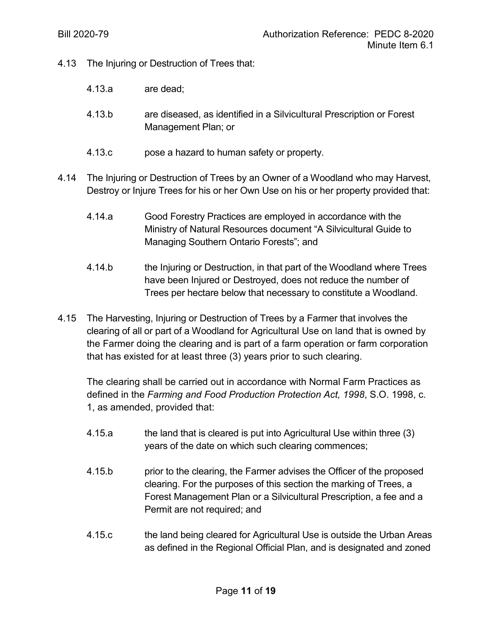- 4.13 The Injuring or Destruction of Trees that:
	- 4.13.a are dead;
	- 4.13.b are diseased, as identified in a Silvicultural Prescription or Forest Management Plan; or
	- 4.13.c pose a hazard to human safety or property.
- 4.14 The Injuring or Destruction of Trees by an Owner of a Woodland who may Harvest, Destroy or Injure Trees for his or her Own Use on his or her property provided that:
	- 4.14.a Good Forestry Practices are employed in accordance with the Ministry of Natural Resources document "A Silvicultural Guide to Managing Southern Ontario Forests"; and
	- 4.14.b the Injuring or Destruction, in that part of the Woodland where Trees have been Injured or Destroyed, does not reduce the number of Trees per hectare below that necessary to constitute a Woodland.
- 4.15 The Harvesting, Injuring or Destruction of Trees by a Farmer that involves the clearing of all or part of a Woodland for Agricultural Use on land that is owned by the Farmer doing the clearing and is part of a farm operation or farm corporation that has existed for at least three (3) years prior to such clearing.

The clearing shall be carried out in accordance with Normal Farm Practices as defined in the *Farming and Food Production Protection Act, 1998*, S.O. 1998, c. 1, as amended, provided that:

- 4.15.a the land that is cleared is put into Agricultural Use within three (3) years of the date on which such clearing commences;
- 4.15.b prior to the clearing, the Farmer advises the Officer of the proposed clearing. For the purposes of this section the marking of Trees, a Forest Management Plan or a Silvicultural Prescription, a fee and a Permit are not required; and
- 4.15.c the land being cleared for Agricultural Use is outside the Urban Areas as defined in the Regional Official Plan, and is designated and zoned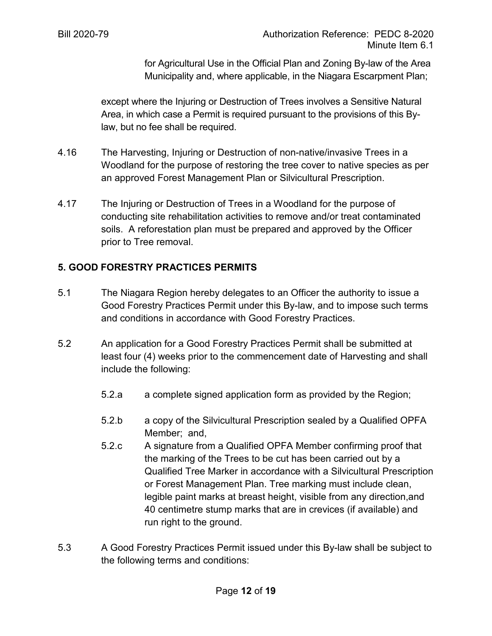for Agricultural Use in the Official Plan and Zoning By-law of the Area Municipality and, where applicable, in the Niagara Escarpment Plan;

except where the Injuring or Destruction of Trees involves a Sensitive Natural Area, in which case a Permit is required pursuant to the provisions of this Bylaw, but no fee shall be required.

- 4.16 The Harvesting, Injuring or Destruction of non-native/invasive Trees in a Woodland for the purpose of restoring the tree cover to native species as per an approved Forest Management Plan or Silvicultural Prescription.
- 4.17 The Injuring or Destruction of Trees in a Woodland for the purpose of conducting site rehabilitation activities to remove and/or treat contaminated soils. A reforestation plan must be prepared and approved by the Officer prior to Tree removal.

# **5. GOOD FORESTRY PRACTICES PERMITS**

- 5.1 The Niagara Region hereby delegates to an Officer the authority to issue a Good Forestry Practices Permit under this By-law, and to impose such terms and conditions in accordance with Good Forestry Practices.
- 5.2 An application for a Good Forestry Practices Permit shall be submitted at least four (4) weeks prior to the commencement date of Harvesting and shall include the following:
	- 5.2.a a complete signed application form as provided by the Region;
	- 5.2.b a copy of the Silvicultural Prescription sealed by a Qualified OPFA Member; and,
	- 5.2.c A signature from a Qualified OPFA Member confirming proof that the marking of the Trees to be cut has been carried out by a Qualified Tree Marker in accordance with a Silvicultural Prescription or Forest Management Plan. Tree marking must include clean, legible paint marks at breast height, visible from any direction,and 40 centimetre stump marks that are in crevices (if available) and run right to the ground.
- 5.3 A Good Forestry Practices Permit issued under this By-law shall be subject to the following terms and conditions: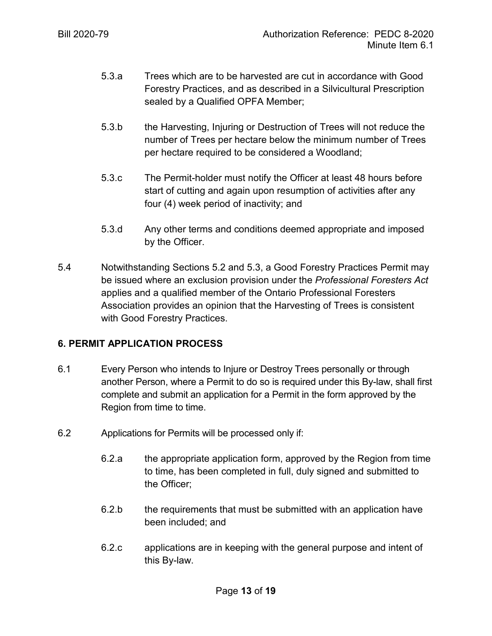- 5.3.a Trees which are to be harvested are cut in accordance with Good Forestry Practices, and as described in a Silvicultural Prescription sealed by a Qualified OPFA Member;
- 5.3.b the Harvesting, Injuring or Destruction of Trees will not reduce the number of Trees per hectare below the minimum number of Trees per hectare required to be considered a Woodland;
- 5.3.c The Permit-holder must notify the Officer at least 48 hours before start of cutting and again upon resumption of activities after any four (4) week period of inactivity; and
- 5.3.d Any other terms and conditions deemed appropriate and imposed by the Officer.
- 5.4 Notwithstanding Sections 5.2 and 5.3, a Good Forestry Practices Permit may be issued where an exclusion provision under the *Professional Foresters Act* applies and a qualified member of the Ontario Professional Foresters Association provides an opinion that the Harvesting of Trees is consistent with Good Forestry Practices.

## **6. PERMIT APPLICATION PROCESS**

- 6.1 Every Person who intends to Injure or Destroy Trees personally or through another Person, where a Permit to do so is required under this By-law, shall first complete and submit an application for a Permit in the form approved by the Region from time to time.
- 6.2 Applications for Permits will be processed only if:
	- 6.2.a the appropriate application form, approved by the Region from time to time, has been completed in full, duly signed and submitted to the Officer;
	- 6.2.b the requirements that must be submitted with an application have been included; and
	- 6.2.c applications are in keeping with the general purpose and intent of this By-law.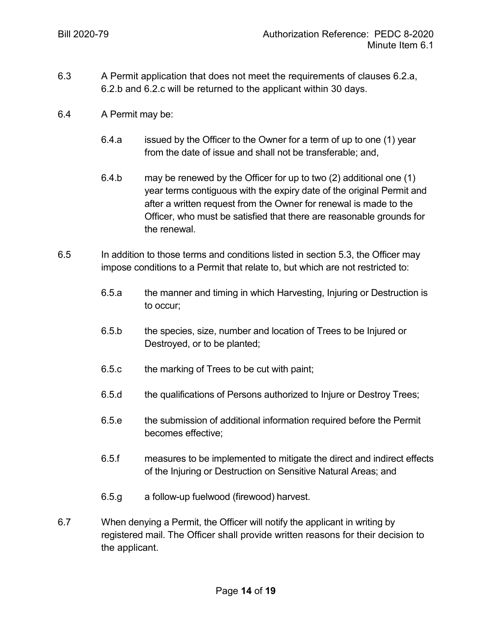- 6.3 A Permit application that does not meet the requirements of clauses 6.2.a, 6.2.b and 6.2.c will be returned to the applicant within 30 days.
- 6.4 A Permit may be:
	- 6.4.a issued by the Officer to the Owner for a term of up to one (1) year from the date of issue and shall not be transferable; and,
	- 6.4.b may be renewed by the Officer for up to two (2) additional one (1) year terms contiguous with the expiry date of the original Permit and after a written request from the Owner for renewal is made to the Officer, who must be satisfied that there are reasonable grounds for the renewal.
- 6.5 In addition to those terms and conditions listed in section 5.3, the Officer may impose conditions to a Permit that relate to, but which are not restricted to:
	- 6.5.a the manner and timing in which Harvesting, Injuring or Destruction is to occur;
	- 6.5.b the species, size, number and location of Trees to be Injured or Destroyed, or to be planted;
	- 6.5.c the marking of Trees to be cut with paint;
	- 6.5.d the qualifications of Persons authorized to Injure or Destroy Trees;
	- 6.5.e the submission of additional information required before the Permit becomes effective;
	- 6.5.f measures to be implemented to mitigate the direct and indirect effects of the Injuring or Destruction on Sensitive Natural Areas; and
	- 6.5.g a follow-up fuelwood (firewood) harvest.
- 6.7 When denying a Permit, the Officer will notify the applicant in writing by registered mail. The Officer shall provide written reasons for their decision to the applicant.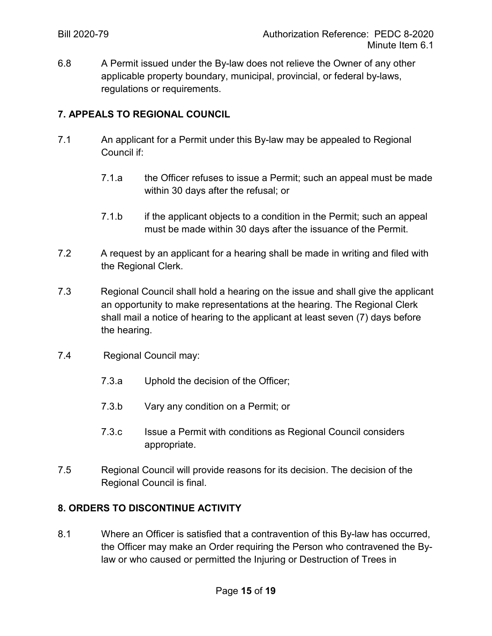6.8 A Permit issued under the By-law does not relieve the Owner of any other applicable property boundary, municipal, provincial, or federal by-laws, regulations or requirements.

## **7. APPEALS TO REGIONAL COUNCIL**

- 7.1 An applicant for a Permit under this By-law may be appealed to Regional Council if:
	- 7.1.a the Officer refuses to issue a Permit; such an appeal must be made within 30 days after the refusal; or
	- 7.1.b if the applicant objects to a condition in the Permit; such an appeal must be made within 30 days after the issuance of the Permit.
- 7.2 A request by an applicant for a hearing shall be made in writing and filed with the Regional Clerk.
- 7.3 Regional Council shall hold a hearing on the issue and shall give the applicant an opportunity to make representations at the hearing. The Regional Clerk shall mail a notice of hearing to the applicant at least seven (7) days before the hearing.
- 7.4 Regional Council may:
	- 7.3.a Uphold the decision of the Officer;
	- 7.3.b Vary any condition on a Permit; or
	- 7.3.c Issue a Permit with conditions as Regional Council considers appropriate.
- 7.5 Regional Council will provide reasons for its decision. The decision of the Regional Council is final.

## **8. ORDERS TO DISCONTINUE ACTIVITY**

8.1 Where an Officer is satisfied that a contravention of this By-law has occurred, the Officer may make an Order requiring the Person who contravened the Bylaw or who caused or permitted the Injuring or Destruction of Trees in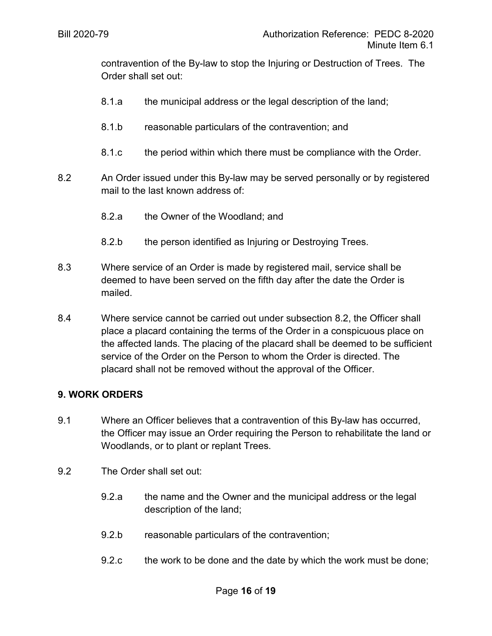contravention of the By-law to stop the Injuring or Destruction of Trees. The Order shall set out:

- 8.1.a the municipal address or the legal description of the land;
- 8.1.b reasonable particulars of the contravention; and
- 8.1.c the period within which there must be compliance with the Order.
- 8.2 An Order issued under this By-law may be served personally or by registered mail to the last known address of:
	- 8.2.a the Owner of the Woodland; and
	- 8.2.b the person identified as Injuring or Destroying Trees.
- 8.3 Where service of an Order is made by registered mail, service shall be deemed to have been served on the fifth day after the date the Order is mailed.
- 8.4 Where service cannot be carried out under subsection 8.2, the Officer shall place a placard containing the terms of the Order in a conspicuous place on the affected lands. The placing of the placard shall be deemed to be sufficient service of the Order on the Person to whom the Order is directed. The placard shall not be removed without the approval of the Officer.

#### **9. WORK ORDERS**

- 9.1 Where an Officer believes that a contravention of this By-law has occurred, the Officer may issue an Order requiring the Person to rehabilitate the land or Woodlands, or to plant or replant Trees.
- 9.2 The Order shall set out:
	- 9.2.a the name and the Owner and the municipal address or the legal description of the land;
	- 9.2.b reasonable particulars of the contravention;
	- 9.2.c the work to be done and the date by which the work must be done;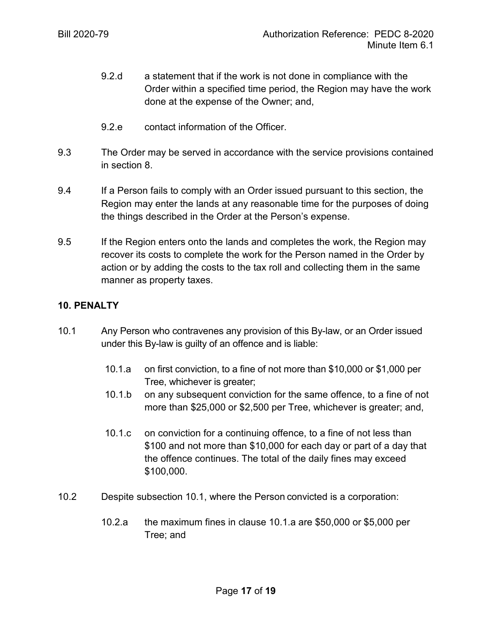- 9.2.d a statement that if the work is not done in compliance with the Order within a specified time period, the Region may have the work done at the expense of the Owner; and,
- 9.2.e contact information of the Officer.
- 9.3 The Order may be served in accordance with the service provisions contained in section 8.
- 9.4 If a Person fails to comply with an Order issued pursuant to this section, the Region may enter the lands at any reasonable time for the purposes of doing the things described in the Order at the Person's expense.
- 9.5 If the Region enters onto the lands and completes the work, the Region may recover its costs to complete the work for the Person named in the Order by action or by adding the costs to the tax roll and collecting them in the same manner as property taxes.

#### **10. PENALTY**

- 10.1 Any Person who contravenes any provision of this By-law, or an Order issued under this By-law is guilty of an offence and is liable:
	- 10.1.a on first conviction, to a fine of not more than \$10,000 or \$1,000 per Tree, whichever is greater;
	- 10.1.b on any subsequent conviction for the same offence, to a fine of not more than \$25,000 or \$2,500 per Tree, whichever is greater; and,
	- 10.1.c on conviction for a continuing offence, to a fine of not less than \$100 and not more than \$10,000 for each day or part of a day that the offence continues. The total of the daily fines may exceed \$100,000.
- 10.2 Despite subsection 10.1, where the Person convicted is a corporation:
	- 10.2.a the maximum fines in clause 10.1.a are \$50,000 or \$5,000 per Tree; and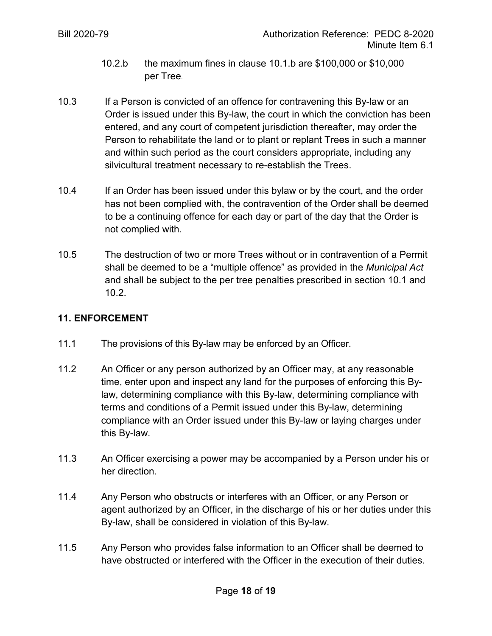- 10.2.b the maximum fines in clause 10.1.b are \$100,000 or \$10,000 per Tree.
- 10.3 If a Person is convicted of an offence for contravening this By-law or an Order is issued under this By-law, the court in which the conviction has been entered, and any court of competent jurisdiction thereafter, may order the Person to rehabilitate the land or to plant or replant Trees in such a manner and within such period as the court considers appropriate, including any silvicultural treatment necessary to re-establish the Trees.
- 10.4 If an Order has been issued under this bylaw or by the court, and the order has not been complied with, the contravention of the Order shall be deemed to be a continuing offence for each day or part of the day that the Order is not complied with.
- 10.5 The destruction of two or more Trees without or in contravention of a Permit shall be deemed to be a "multiple offence" as provided in the *Municipal Act* and shall be subject to the per tree penalties prescribed in section 10.1 and 10.2.

# **11. ENFORCEMENT**

- 11.1 The provisions of this By-law may be enforced by an Officer.
- 11.2 An Officer or any person authorized by an Officer may, at any reasonable time, enter upon and inspect any land for the purposes of enforcing this Bylaw, determining compliance with this By-law, determining compliance with terms and conditions of a Permit issued under this By-law, determining compliance with an Order issued under this By-law or laying charges under this By-law.
- 11.3 An Officer exercising a power may be accompanied by a Person under his or her direction.
- 11.4 Any Person who obstructs or interferes with an Officer, or any Person or agent authorized by an Officer, in the discharge of his or her duties under this By-law, shall be considered in violation of this By-law.
- 11.5 Any Person who provides false information to an Officer shall be deemed to have obstructed or interfered with the Officer in the execution of their duties.